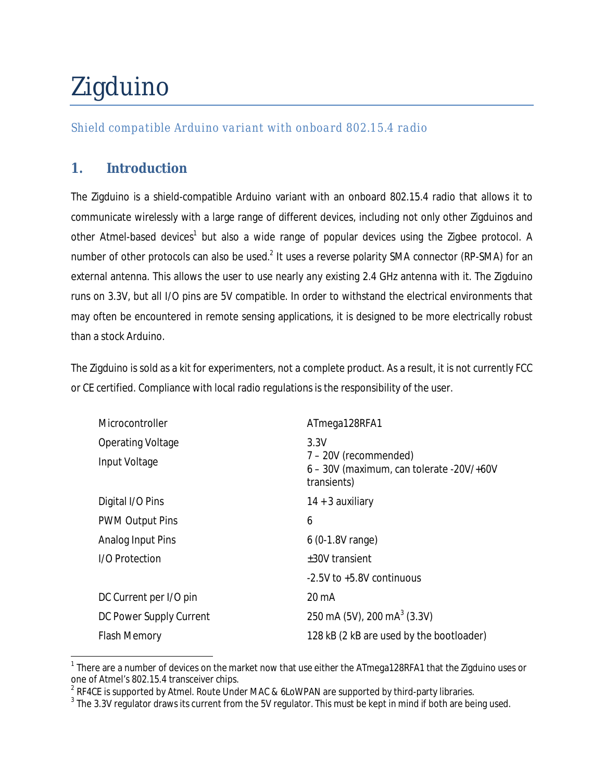# Zigduino

*Shield compatible Arduino variant with onboard 802.15.4 radio*

# **1. Introduction**

 $\overline{a}$ 

The Zigduino is a shield-compatible Arduino variant with an onboard 802.15.4 radio that allows it to communicate wirelessly with a large range of different devices, including not only other Zigduinos and other Atmel-based devices<sup>1</sup> but also a wide range of popular devices using the Zigbee protocol. A number of other protocols can also be used.<sup>2</sup> It uses a reverse polarity SMA connector (RP-SMA) for an external antenna. This allows the user to use nearly any existing 2.4 GHz antenna with it. The Zigduino runs on 3.3V, but all I/O pins are 5V compatible. In order to withstand the electrical environments that may often be encountered in remote sensing applications, it is designed to be more electrically robust than a stock Arduino.

The Zigduino is sold as a kit for experimenters, not a complete product. As a result, it is not currently FCC or CE certified. Compliance with local radio regulations is the responsibility of the user.

| Microcontroller          | ATmega128RFA1                                                                            |  |
|--------------------------|------------------------------------------------------------------------------------------|--|
| <b>Operating Voltage</b> | 3.3V<br>7 – 20V (recommended)<br>6 - 30V (maximum, can tolerate -20V/+60V<br>transients) |  |
| Input Voltage            |                                                                                          |  |
| Digital I/O Pins         | $14 + 3$ auxiliary                                                                       |  |
| <b>PWM Output Pins</b>   | 6                                                                                        |  |
| Analog Input Pins        | $6(0-1.8V \text{ range})$                                                                |  |
| I/O Protection           | ±30V transient                                                                           |  |
|                          | -2.5V to +5.8V continuous                                                                |  |
| DC Current per I/O pin   | $20 \text{ mA}$                                                                          |  |
| DC Power Supply Current  | 250 mA (5V), 200 mA $3$ (3.3V)                                                           |  |
| <b>Flash Memory</b>      | 128 kB (2 kB are used by the bootloader)                                                 |  |

 $^{\text{1}}$  There are a number of devices on the market now that use either the ATmega128RFA1 that the Zigduino uses or one of Atmel's 802.15.4 transceiver chips.

 $^{\text{2}}$  RF4CE is supported by Atmel. Route Under MAC & 6LoWPAN are supported by third-party libraries.

 $^3$  The 3.3V regulator draws its current from the 5V regulator. This must be kept in mind if both are being used.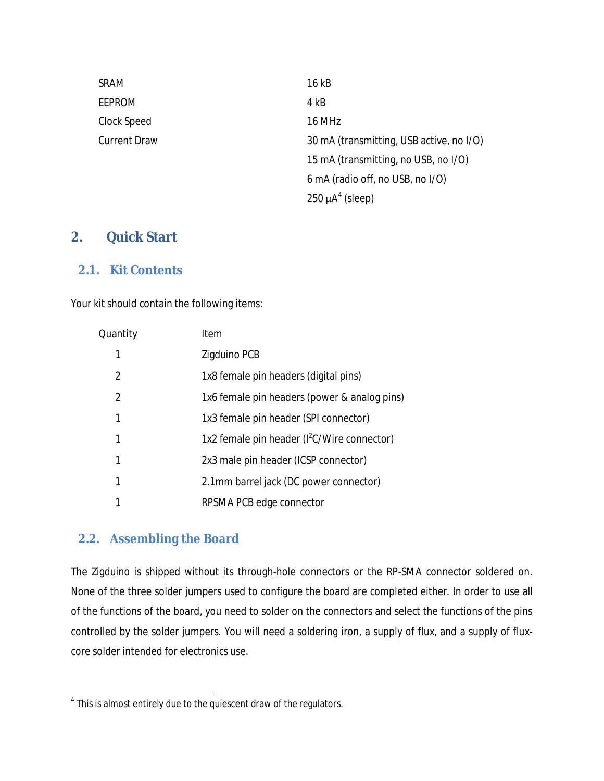| SRAM         | 16 kB                                    |
|--------------|------------------------------------------|
| EEPROM       | 4 kB                                     |
| Clock Speed  | 16 MHz                                   |
| Current Draw | 30 mA (transmitting, USB active, no I/O) |
|              | 15 mA (transmitting, no USB, no I/O)     |
|              | 6 mA (radio off, no USB, no I/O)         |
|              | $250 \mu A^4$ (sleep)                    |

# **2. Quick Start**

#### **2.1. Kit Contents**

Your kit should contain the following items:

| Quantity       | Item                                                    |
|----------------|---------------------------------------------------------|
| 1              | Zigduino PCB                                            |
| 2              | 1x8 female pin headers (digital pins)                   |
| $\mathfrak{p}$ | 1x6 female pin headers (power & analog pins)            |
| 1              | 1x3 female pin header (SPI connector)                   |
| 1              | 1x2 female pin header (I <sup>2</sup> C/Wire connector) |
| 1              | 2x3 male pin header (ICSP connector)                    |
| 1              | 2.1mm barrel jack (DC power connector)                  |
|                | RPSMA PCB edge connector                                |

#### **2.2. Assembling the Board**

The Zigduino is shipped without its through-hole connectors or the RP-SMA connector soldered on. None of the three solder jumpers used to configure the board are completed either. In order to use all of the functions of the board, you need to solder on the connectors and select the functions of the pins controlled by the solder jumpers. You will need a soldering iron, a supply of flux, and a supply of fluxcore solder intended for electronics use.

 4 This is almost entirely due to the quiescent draw of the regulators.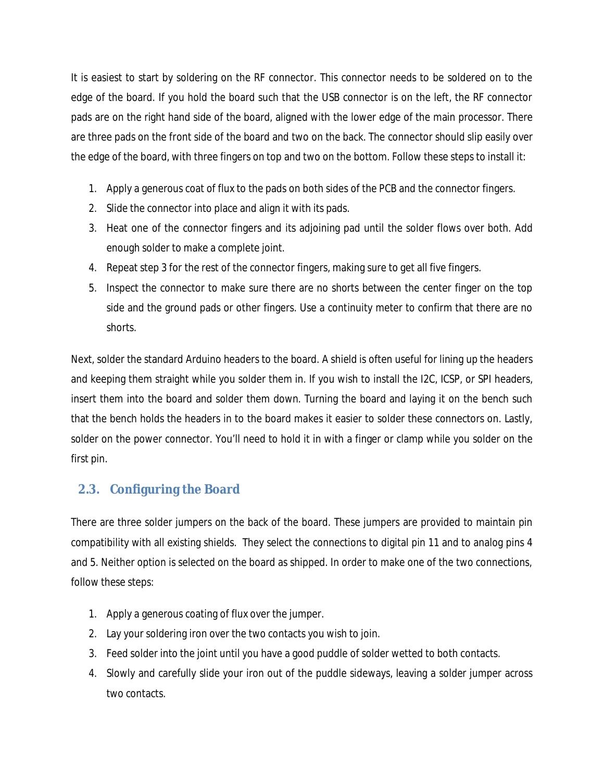It is easiest to start by soldering on the RF connector. This connector needs to be soldered on to the edge of the board. If you hold the board such that the USB connector is on the left, the RF connector pads are on the right hand side of the board, aligned with the lower edge of the main processor. There are three pads on the front side of the board and two on the back. The connector should slip easily over the edge of the board, with three fingers on top and two on the bottom. Follow these steps to install it:

- 1. Apply a generous coat of flux to the pads on both sides of the PCB and the connector fingers.
- 2. Slide the connector into place and align it with its pads.
- 3. Heat one of the connector fingers and its adjoining pad until the solder flows over both. Add enough solder to make a complete joint.
- 4. Repeat step 3 for the rest of the connector fingers, making sure to get all five fingers.
- 5. Inspect the connector to make sure there are no shorts between the center finger on the top side and the ground pads or other fingers. Use a continuity meter to confirm that there are no shorts.

Next, solder the standard Arduino headers to the board. A shield is often useful for lining up the headers and keeping them straight while you solder them in. If you wish to install the I2C, ICSP, or SPI headers, insert them into the board and solder them down. Turning the board and laying it on the bench such that the bench holds the headers in to the board makes it easier to solder these connectors on. Lastly, solder on the power connector. You'll need to hold it in with a finger or clamp while you solder on the first pin.

# **2.3. Configuring the Board**

There are three solder jumpers on the back of the board. These jumpers are provided to maintain pin compatibility with all existing shields. They select the connections to digital pin 11 and to analog pins 4 and 5. Neither option is selected on the board as shipped. In order to make one of the two connections, follow these steps:

- 1. Apply a generous coating of flux over the jumper.
- 2. Lay your soldering iron over the two contacts you wish to join.
- 3. Feed solder into the joint until you have a good puddle of solder wetted to both contacts.
- 4. Slowly and carefully slide your iron out of the puddle sideways, leaving a solder jumper across two contacts.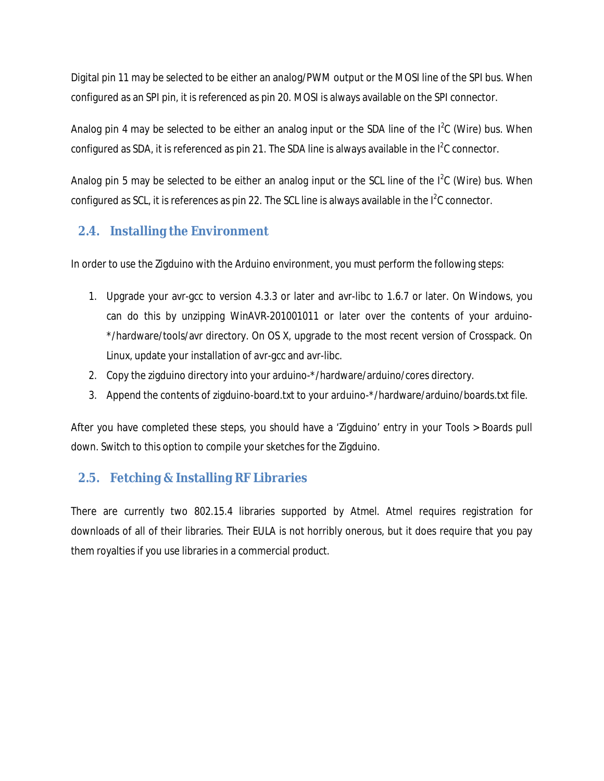Digital pin 11 may be selected to be either an analog/PWM output or the MOSI line of the SPI bus. When configured as an SPI pin, it is referenced as pin 20. MOSI is always available on the SPI connector.

Analog pin 4 may be selected to be either an analog input or the SDA line of the  $I^2C$  (Wire) bus. When configured as SDA, it is referenced as pin 21. The SDA line is always available in the l<sup>2</sup>C connector.

Analog pin 5 may be selected to be either an analog input or the SCL line of the  $I^2C$  (Wire) bus. When configured as SCL, it is references as pin 22. The SCL line is always available in the l<sup>2</sup>C connector.

# **2.4. Installing the Environment**

In order to use the Zigduino with the Arduino environment, you must perform the following steps:

- 1. Upgrade your avr-gcc to version 4.3.3 or later and avr-libc to 1.6.7 or later. On Windows, you can do this by unzipping WinAVR-201001011 or later over the contents of your arduino- \*/hardware/tools/avr directory. On OS X, upgrade to the most recent version of Crosspack. On Linux, update your installation of avr-gcc and avr-libc.
- 2. Copy the zigduino directory into your arduino-\*/hardware/arduino/cores directory.
- 3. Append the contents of zigduino-board.txt to your arduino-\*/hardware/arduino/boards.txt file.

After you have completed these steps, you should have a 'Zigduino' entry in your Tools > Boards pull down. Switch to this option to compile your sketches for the Zigduino.

# **2.5. Fetching & Installing RF Libraries**

There are currently two 802.15.4 libraries supported by Atmel. Atmel requires registration for downloads of all of their libraries. Their EULA is not horribly onerous, but it does require that you pay them royalties if you use libraries in a commercial product.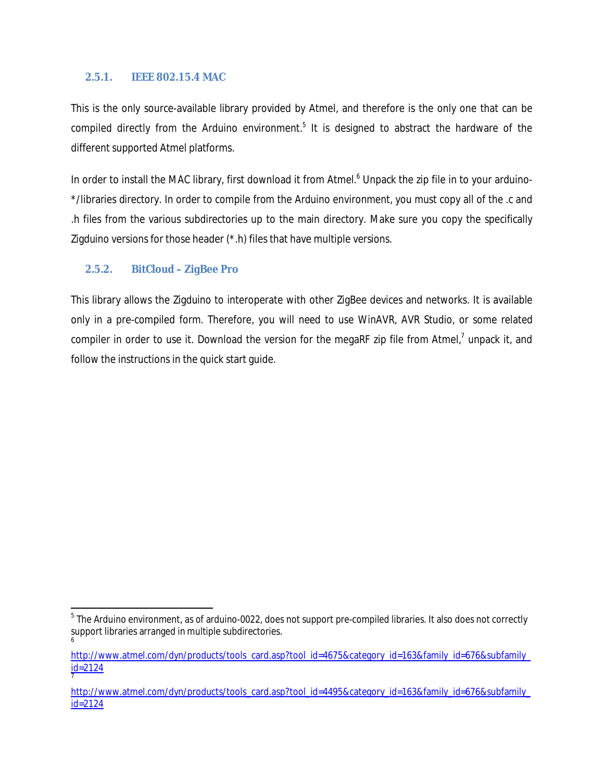#### **2.5.1. IEEE 802.15.4 MAC**

This is the only source-available library provided by Atmel, and therefore is the only one that can be compiled directly from the Arduino environment.<sup>5</sup> It is designed to abstract the hardware of the different supported Atmel platforms.

In order to install the MAC library, first download it from Atmel.<sup>6</sup> Unpack the zip file in to your arduino-\*/libraries directory. In order to compile from the Arduino environment, you must copy all of the .c and .h files from the various subdirectories up to the main directory. Make sure you copy the specifically Zigduino versions for those header (\*.h) files that have multiple versions.

#### **2.5.2. BitCloud – ZigBee Pro**

 $\overline{a}$ 

This library allows the Zigduino to interoperate with other ZigBee devices and networks. It is available only in a pre-compiled form. Therefore, you will need to use WinAVR, AVR Studio, or some related compiler in order to use it. Download the version for the megaRF zip file from Atmel,<sup>7</sup> unpack it, and follow the instructions in the quick start guide.

 $^5$  The Arduino environment, as of arduino-0022, does not support pre-compiled libraries. It also does not correctly support libraries arranged in multiple subdirectories. 6

http://www.atmel.com/dyn/products/tools\_card.asp?tool\_id=4675&category\_id=163&family\_id=676&subfamily\_ id=2124 7

http://www.atmel.com/dyn/products/tools\_card.asp?tool\_id=4495&category\_id=163&family\_id=676&subfamily\_ id=2124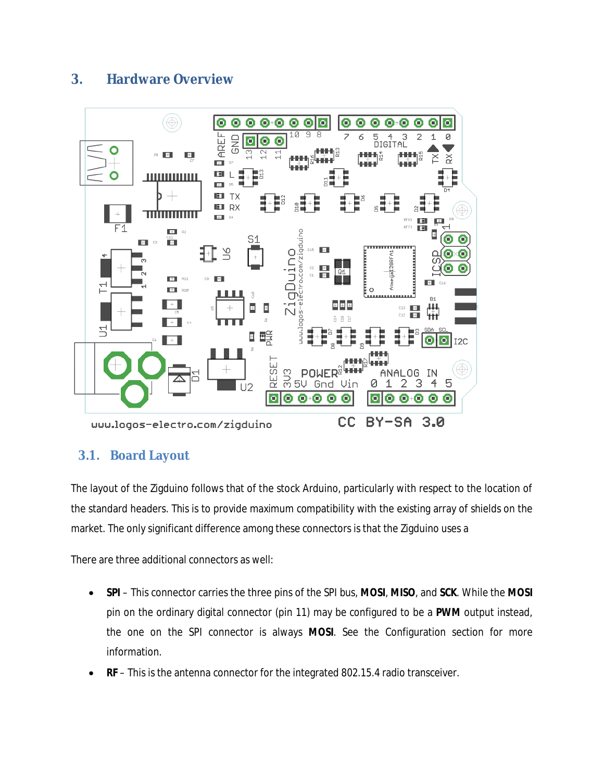# **3. Hardware Overview**



# **3.1. Board Layout**

The layout of the Zigduino follows that of the stock Arduino, particularly with respect to the location of the standard headers. This is to provide maximum compatibility with the existing array of shields on the market. The only significant difference among these connectors is that the Zigduino uses a

There are three additional connectors as well:

- **SPI** This connector carries the three pins of the SPI bus, **MOSI**, **MISO**, and **SCK**. While the **MOSI** pin on the ordinary digital connector (pin 11) may be configured to be a **PWM** output instead, the one on the SPI connector is always **MOSI**. See the Configuration section for more information.
- **RF** This is the antenna connector for the integrated 802.15.4 radio transceiver.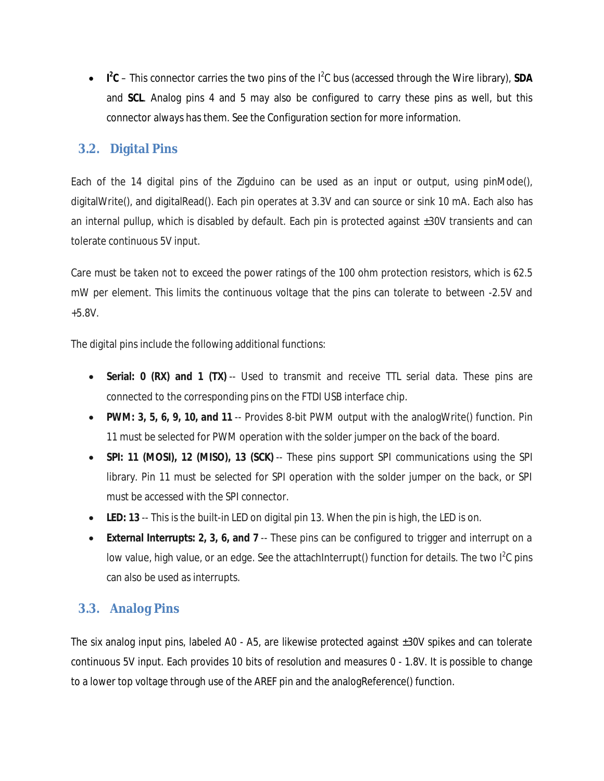• **I<sup>2</sup>C** – This connector carries the two pins of the I<sup>2</sup>C bus (accessed through the Wire library), **SDA** and **SCL**. Analog pins 4 and 5 may also be configured to carry these pins as well, but this connector always has them. See the Configuration section for more information.

# **3.2. Digital Pins**

Each of the 14 digital pins of the Zigduino can be used as an input or output, using pinMode(), digitalWrite(), and digitalRead(). Each pin operates at 3.3V and can source or sink 10 mA. Each also has an internal pullup, which is disabled by default. Each pin is protected against ±30V transients and can tolerate continuous 5V input.

Care must be taken not to exceed the power ratings of the 100 ohm protection resistors, which is 62.5 mW per element. This limits the continuous voltage that the pins can tolerate to between -2.5V and +5.8V.

The digital pins include the following additional functions:

- **Serial: 0 (RX) and 1 (TX)** -- Used to transmit and receive TTL serial data. These pins are connected to the corresponding pins on the FTDI USB interface chip.
- **PWM: 3, 5, 6, 9, 10, and 11** -- Provides 8-bit PWM output with the analogWrite() function. Pin 11 must be selected for PWM operation with the solder jumper on the back of the board.
- **SPI: 11 (MOSI), 12 (MISO), 13 (SCK)** -- These pins support SPI communications using the SPI library. Pin 11 must be selected for SPI operation with the solder jumper on the back, or SPI must be accessed with the SPI connector.
- **LED: 13** -- This is the built-in LED on digital pin 13. When the pin is high, the LED is on.
- **External Interrupts: 2, 3, 6, and 7** -- These pins can be configured to trigger and interrupt on a low value, high value, or an edge. See the attachInterrupt() function for details. The two l<sup>2</sup>C pins can also be used as interrupts.

# **3.3. Analog Pins**

The six analog input pins, labeled A0 - A5, are likewise protected against ±30V spikes and can tolerate continuous 5V input. Each provides 10 bits of resolution and measures 0 - 1.8V. It is possible to change to a lower top voltage through use of the AREF pin and the analogReference() function.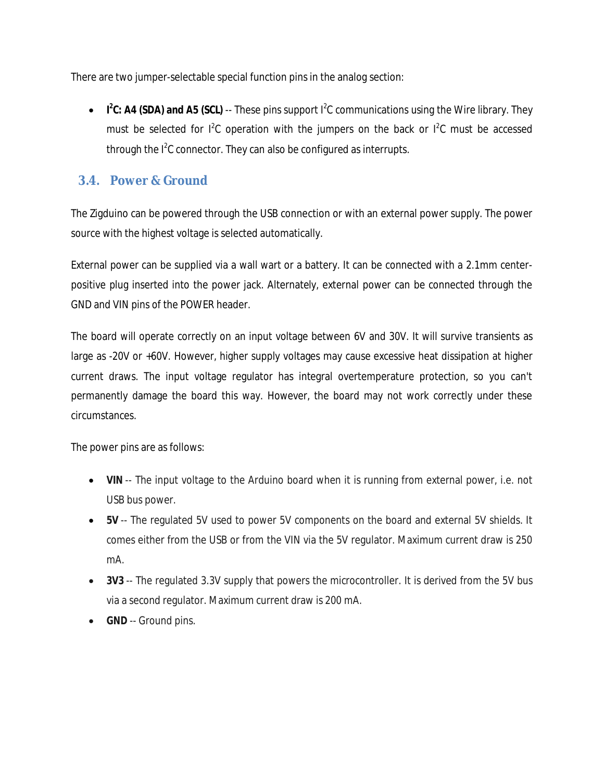There are two jumper-selectable special function pins in the analog section:

• **I<sup>2</sup>C: A4 (SDA) and A5 (SCL)** -- These pins support I<sup>2</sup>C communications using the Wire library. They must be selected for  $1^2C$  operation with the jumpers on the back or  $1^2C$  must be accessed through the  $I^2C$  connector. They can also be configured as interrupts.

# **3.4. Power & Ground**

The Zigduino can be powered through the USB connection or with an external power supply. The power source with the highest voltage is selected automatically.

External power can be supplied via a wall wart or a battery. It can be connected with a 2.1mm centerpositive plug inserted into the power jack. Alternately, external power can be connected through the GND and VIN pins of the POWER header.

The board will operate correctly on an input voltage between 6V and 30V. It will survive transients as large as -20V or +60V. However, higher supply voltages may cause excessive heat dissipation at higher current draws. The input voltage regulator has integral overtemperature protection, so you can't permanently damage the board this way. However, the board may not work correctly under these circumstances.

The power pins are as follows:

- **VIN** -- The input voltage to the Arduino board when it is running from external power, i.e. not USB bus power.
- **5V** -- The regulated 5V used to power 5V components on the board and external 5V shields. It comes either from the USB or from the VIN via the 5V regulator. Maximum current draw is 250 mA.
- **3V3** -- The regulated 3.3V supply that powers the microcontroller. It is derived from the 5V bus via a second regulator. Maximum current draw is 200 mA.
- **GND** -- Ground pins.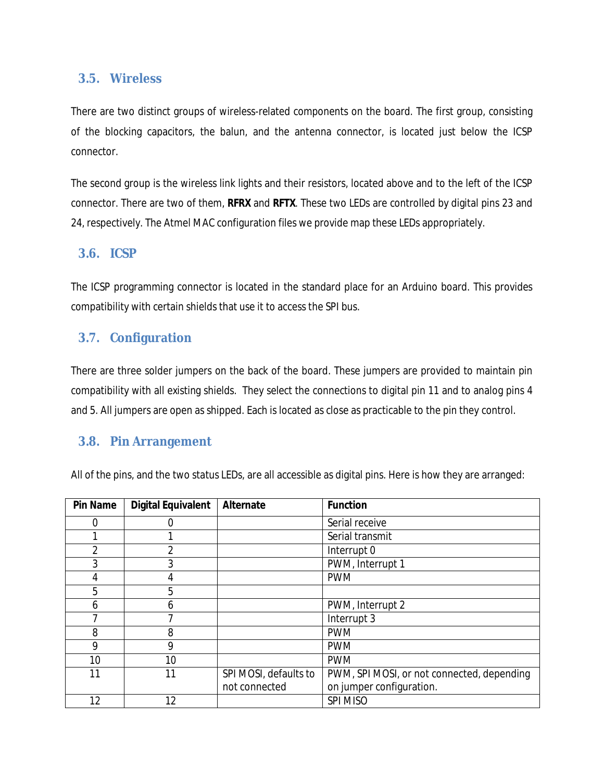#### **3.5. Wireless**

There are two distinct groups of wireless-related components on the board. The first group, consisting of the blocking capacitors, the balun, and the antenna connector, is located just below the ICSP connector.

The second group is the wireless link lights and their resistors, located above and to the left of the ICSP connector. There are two of them, **RFRX** and **RFTX**. These two LEDs are controlled by digital pins 23 and 24, respectively. The Atmel MAC configuration files we provide map these LEDs appropriately.

#### **3.6. ICSP**

The ICSP programming connector is located in the standard place for an Arduino board. This provides compatibility with certain shields that use it to access the SPI bus.

### **3.7. Configuration**

There are three solder jumpers on the back of the board. These jumpers are provided to maintain pin compatibility with all existing shields. They select the connections to digital pin 11 and to analog pins 4 and 5. All jumpers are open as shipped. Each is located as close as practicable to the pin they control.

#### **3.8. Pin Arrangement**

All of the pins, and the two status LEDs, are all accessible as digital pins. Here is how they are arranged:

| <b>Pin Name</b> | <b>Digital Equivalent</b> | <b>Alternate</b>      | <b>Function</b>                            |
|-----------------|---------------------------|-----------------------|--------------------------------------------|
| 0               | 0                         |                       | Serial receive                             |
|                 |                           |                       | Serial transmit                            |
| $\overline{2}$  | $\overline{2}$            |                       | Interrupt 0                                |
| 3               | 3                         |                       | PWM, Interrupt 1                           |
| 4               | 4                         |                       | <b>PWM</b>                                 |
| 5               | 5                         |                       |                                            |
| 6               | 6                         |                       | PWM, Interrupt 2                           |
|                 | ⇁                         |                       | Interrupt 3                                |
| 8               | 8                         |                       | <b>PWM</b>                                 |
| 9               | 9                         |                       | <b>PWM</b>                                 |
| 10              | 10                        |                       | <b>PWM</b>                                 |
| 11              | 11                        | SPI MOSI, defaults to | PWM, SPI MOSI, or not connected, depending |
|                 |                           | not connected         | on jumper configuration.                   |
| 12              | 12                        |                       | SPI MISO                                   |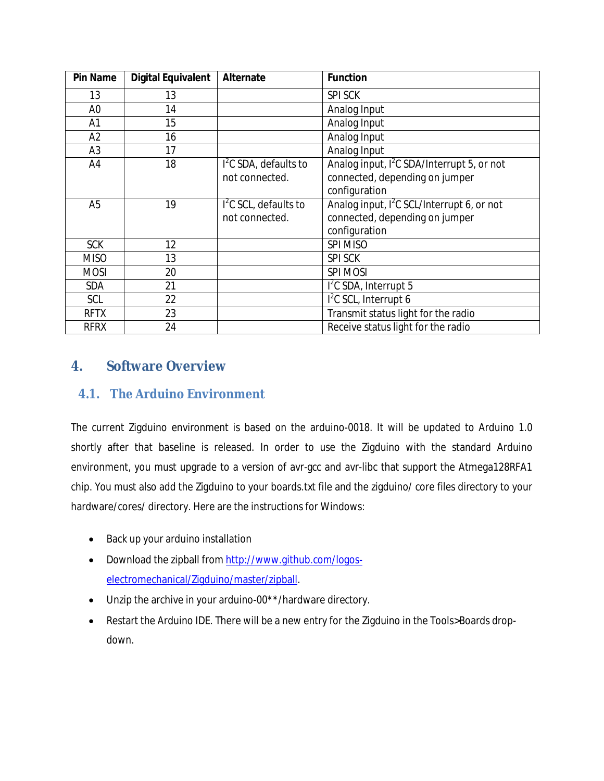| <b>Pin Name</b> | <b>Digital Equivalent</b> | <b>Alternate</b>       | <b>Function</b>                                        |
|-----------------|---------------------------|------------------------|--------------------------------------------------------|
| 13              | 13                        |                        | <b>SPI SCK</b>                                         |
| A <sub>0</sub>  | 14                        |                        | Analog Input                                           |
| A1              | 15                        |                        | Analog Input                                           |
| A2              | 16                        |                        | Analog Input                                           |
| A <sub>3</sub>  | 17                        |                        | Analog Input                                           |
| A4              | 18                        | $I2C$ SDA, defaults to | Analog input, I <sup>2</sup> C SDA/Interrupt 5, or not |
|                 |                           | not connected.         | connected, depending on jumper                         |
|                 |                           |                        | configuration                                          |
| A <sub>5</sub>  | 19                        | $I2C$ SCL, defaults to | Analog input, I <sup>2</sup> C SCL/Interrupt 6, or not |
|                 |                           | not connected.         | connected, depending on jumper                         |
|                 |                           |                        | configuration                                          |
| <b>SCK</b>      | 12                        |                        | <b>SPI MISO</b>                                        |
| <b>MISO</b>     | 13                        |                        | <b>SPI SCK</b>                                         |
| <b>MOSI</b>     | 20                        |                        | <b>SPI MOSI</b>                                        |
| <b>SDA</b>      | 21                        |                        | $12C$ SDA, Interrupt 5                                 |
| SCL             | 22                        |                        | $12C$ SCL, Interrupt 6                                 |
| <b>RFTX</b>     | 23                        |                        | Transmit status light for the radio                    |
| <b>RFRX</b>     | 24                        |                        | Receive status light for the radio                     |

# **4. Software Overview**

# **4.1. The Arduino Environment**

The current Zigduino environment is based on the arduino-0018. It will be updated to Arduino 1.0 shortly after that baseline is released. In order to use the Zigduino with the standard Arduino environment, you must upgrade to a version of avr-gcc and avr-libc that support the Atmega128RFA1 chip. You must also add the Zigduino to your boards.txt file and the zigduino/ core files directory to your hardware/cores/ directory. Here are the instructions for Windows:

- Back up your arduino installation
- Download the zipball from http://www.github.com/logoselectromechanical/Zigduino/master/zipball.
- Unzip the archive in your arduino-00\*\*/hardware directory.
- Restart the Arduino IDE. There will be a new entry for the Zigduino in the Tools>Boards dropdown.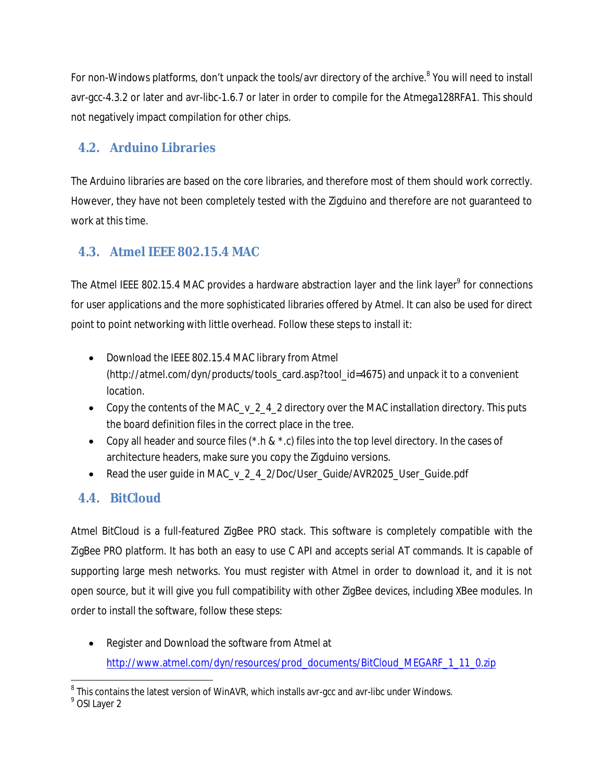For non-Windows platforms, don't unpack the tools/avr directory of the archive.<sup>8</sup> You will need to install avr-gcc-4.3.2 or later and avr-libc-1.6.7 or later in order to compile for the Atmega128RFA1. This should not negatively impact compilation for other chips.

# **4.2. Arduino Libraries**

The Arduino libraries are based on the core libraries, and therefore most of them should work correctly. However, they have not been completely tested with the Zigduino and therefore are not guaranteed to work at this time.

# **4.3. Atmel IEEE 802.15.4 MAC**

The Atmel IEEE 802.15.4 MAC provides a hardware abstraction layer and the link layer<sup>9</sup> for connections for user applications and the more sophisticated libraries offered by Atmel. It can also be used for direct point to point networking with little overhead. Follow these steps to install it:

- Download the IEEE 802.15.4 MAC library from Atmel (http://atmel.com/dyn/products/tools\_card.asp?tool\_id=4675) and unpack it to a convenient location.
- Copy the contents of the MAC v 2 4 2 directory over the MAC installation directory. This puts the board definition files in the correct place in the tree.
- Copy all header and source files  $(*.h & *.c)$  files into the top level directory. In the cases of architecture headers, make sure you copy the Zigduino versions.
- Read the user quide in MAC\_v\_2\_4\_2/Doc/User\_Guide/AVR2025\_User\_Guide.pdf

# **4.4. BitCloud**

Atmel BitCloud is a full-featured ZigBee PRO stack. This software is completely compatible with the ZigBee PRO platform. It has both an easy to use C API and accepts serial AT commands. It is capable of supporting large mesh networks. You must register with Atmel in order to download it, and it is not open source, but it will give you full compatibility with other ZigBee devices, including XBee modules. In order to install the software, follow these steps:

 Register and Download the software from Atmel at http://www.atmel.com/dyn/resources/prod\_documents/BitCloud\_MEGARF\_1\_11\_0.zip

 8 This contains the latest version of WinAVR, which installs avr-gcc and avr-libc under Windows. 9 OSI Layer 2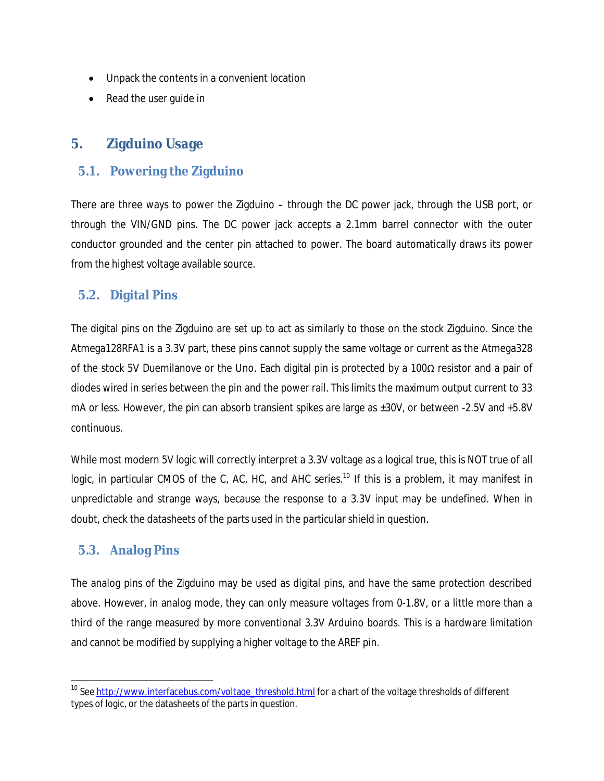- Unpack the contents in a convenient location
- Read the user quide in

## **5. Zigduino Usage**

#### **5.1. Powering the Zigduino**

There are three ways to power the Zigduino – through the DC power jack, through the USB port, or through the VIN/GND pins. The DC power jack accepts a 2.1mm barrel connector with the outer conductor grounded and the center pin attached to power. The board automatically draws its power from the highest voltage available source.

### **5.2. Digital Pins**

The digital pins on the Zigduino are set up to act as similarly to those on the stock Zigduino. Since the Atmega128RFA1 is a 3.3V part, these pins cannot supply the same voltage or current as the Atmega328 of the stock 5V Duemilanove or the Uno. Each digital pin is protected by a 100Ω resistor and a pair of diodes wired in series between the pin and the power rail. This limits the maximum output current to 33 mA or less. However, the pin can absorb transient spikes are large as  $\pm 30V$ , or between -2.5V and +5.8V continuous.

While most modern 5V logic will correctly interpret a 3.3V voltage as a logical true, this is NOT true of all logic, in particular CMOS of the C, AC, HC, and AHC series.<sup>10</sup> If this is a problem, it may manifest in unpredictable and strange ways, because the response to a 3.3V input may be undefined. When in doubt, check the datasheets of the parts used in the particular shield in question.

### **5.3. Analog Pins**

 $\overline{\phantom{a}}$ 

The analog pins of the Zigduino may be used as digital pins, and have the same protection described above. However, in analog mode, they can only measure voltages from 0-1.8V, or a little more than a third of the range measured by more conventional 3.3V Arduino boards. This is a hardware limitation and cannot be modified by supplying a higher voltage to the AREF pin.

<sup>&</sup>lt;sup>10</sup> See <u>http://www.interfacebus.com/voltage\_threshold.html</u> for a chart of the voltage thresholds of different types of logic, or the datasheets of the parts in question.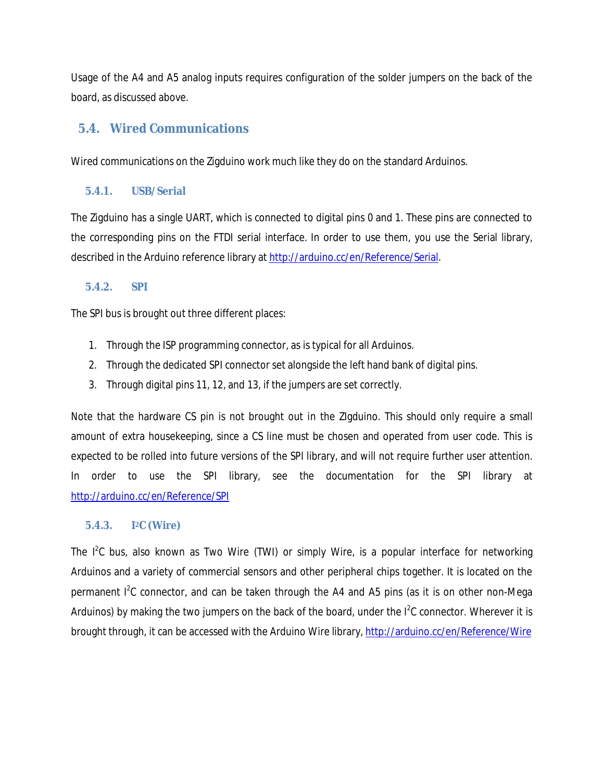Usage of the A4 and A5 analog inputs requires configuration of the solder jumpers on the back of the board, as discussed above.

# **5.4. Wired Communications**

Wired communications on the Zigduino work much like they do on the standard Arduinos.

#### **5.4.1. USB/Serial**

The Zigduino has a single UART, which is connected to digital pins 0 and 1. These pins are connected to the corresponding pins on the FTDI serial interface. In order to use them, you use the Serial library, described in the Arduino reference library at http://arduino.cc/en/Reference/Serial.

#### **5.4.2. SPI**

The SPI bus is brought out three different places:

- 1. Through the ISP programming connector, as is typical for all Arduinos.
- 2. Through the dedicated SPI connector set alongside the left hand bank of digital pins.
- 3. Through digital pins 11, 12, and 13, if the jumpers are set correctly.

Note that the hardware CS pin is not brought out in the ZIgduino. This should only require a small amount of extra housekeeping, since a CS line must be chosen and operated from user code. This is expected to be rolled into future versions of the SPI library, and will not require further user attention. In order to use the SPI library, see the documentation for the SPI library at http://arduino.cc/en/Reference/SPI

#### **5.4.3. I <sup>2</sup>C (Wire)**

The  $I<sup>2</sup>C$  bus, also known as Two Wire (TWI) or simply Wire, is a popular interface for networking Arduinos and a variety of commercial sensors and other peripheral chips together. It is located on the permanent I<sup>2</sup>C connector, and can be taken through the A4 and A5 pins (as it is on other non-Mega Arduinos) by making the two jumpers on the back of the board, under the  $I^2C$  connector. Wherever it is brought through, it can be accessed with the Arduino Wire library, http://arduino.cc/en/Reference/Wire